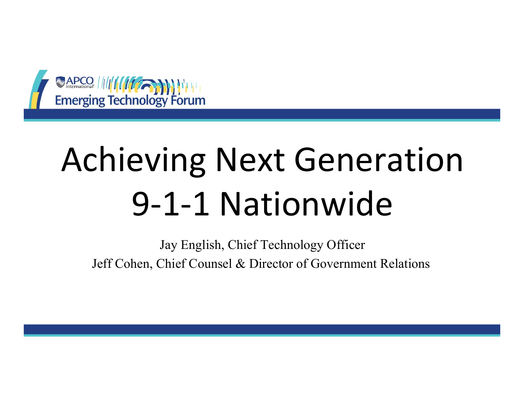

# Achieving Next Generation 9‐1‐1 Nationwide

Jay English, Chief Technology Officer Jeff Cohen, Chief Counsel & Director of Government Relations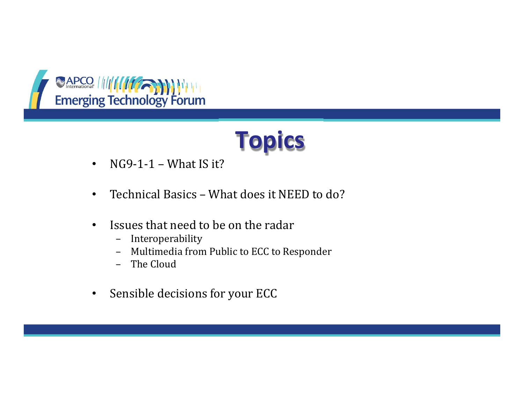



- $NG9-1-1 What IS it?$
- Technical Basics What does it NEED to do?
- Issues that need to be on the radar
	- Interoperability
	- Multimedia from Public to ECC to Responder
	- The Cloud
- Sensible decisions for your ECC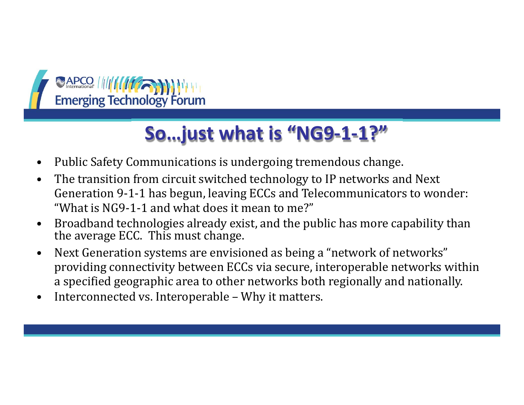

### **So…just what is "NG9‐1‐1?"**

- Public Safety Communications is undergoing tremendous change.
- The transition from circuit switched technology to IP networks and Next Generation 9-1-1 has begun, leaving ECCs and Telecommunicators to wonder: "What is NG9-1-1 and what does it mean to me?"
- Broadband technologies already exist, and the public has more capability than the average ECC. This must change.
- Next Generation systems are envisioned as being a "network of networks" providing connectivity between ECCs via secure, interoperable networks within a specified geographic area to other networks both regionally and nationally.
- Interconnected vs. Interoperable Why it matters.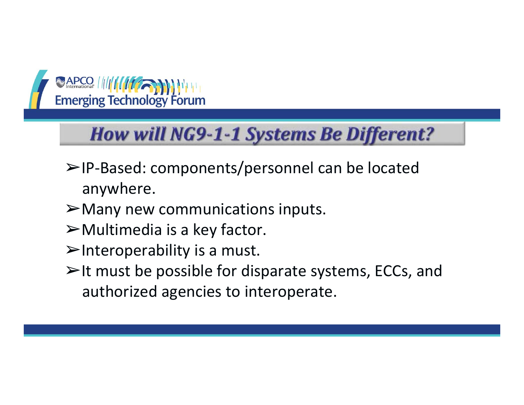

#### **How will NG9-1-1 Systems Be Different?**

- ➢IP‐Based: components/personnel can be located anywhere.
- $\triangleright$  Many new communications inputs.
- ➢Multimedia is a key factor.
- $\triangleright$ Interoperability is a must.
- $\triangleright$ It must be possible for disparate systems, ECCs, and authorized agencies to interoperate.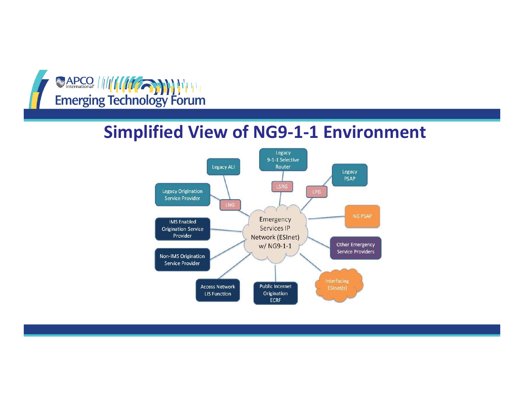

#### **Simplified View of NG9-1-1 Environment**

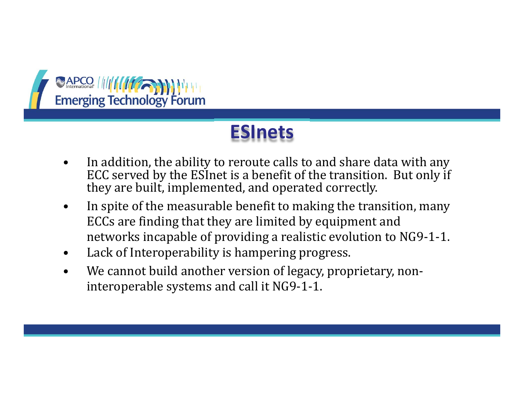

### **ESInets**

- In addition, the ability to reroute calls to and share data with any ECC served by the ESInet is a benefit of the transition. But only if they are built, implemented, and operated correctly.
- In spite of the measurable benefit to making the transition, many ECCs are finding that they are limited by equipment and networks incapable of providing a realistic evolution to NG9-1-1.
- Lack of Interoperability is hampering progress.
- We cannot build another version of legacy, proprietary, noninteroperable systems and call it NG9-1-1.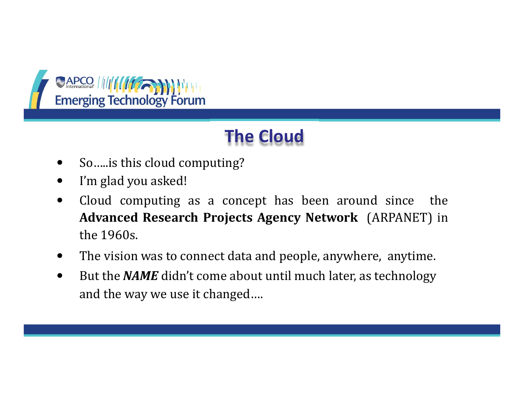

### **The Cloud**

- So…..is this cloud computing?
- I'm glad you asked!
- Cloud computing as a concept has been around since the **Advanced Research Projects Agency Network** (ARPANET) in the 1960s.
- The vision was to connect data and people, anywhere, anytime.
- But the *NAME* didn't come about until much later, as technology and the way we use it changed….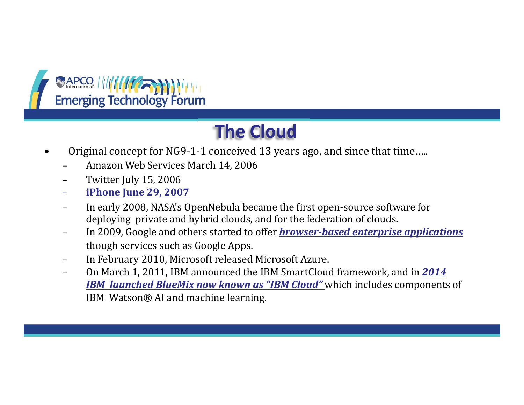

#### **The Cloud**

- Original concept for NG9-1-1 conceived 13 years ago, and since that time…..
	- Amazon Web Services March 14, 2006
	- Twitter July 15, 2006
	- **iPhone June 29, 2007**
	- In early 2008, NASA's OpenNebula became the first open-source software for deploying private and hybrid clouds, and for the federation of clouds.
	- In 2009, Google and others started to offer *browser‐based enterprise applications* though services such as Google Apps.
	- In February 2010, Microsoft released Microsoft Azure.
	- On March 1, 2011, IBM announced the IBM SmartCloud framework, and in *2014 IBM* launched BlueMix now known as "IBM Cloud" which includes components of IBM Watson® AI and machine learning.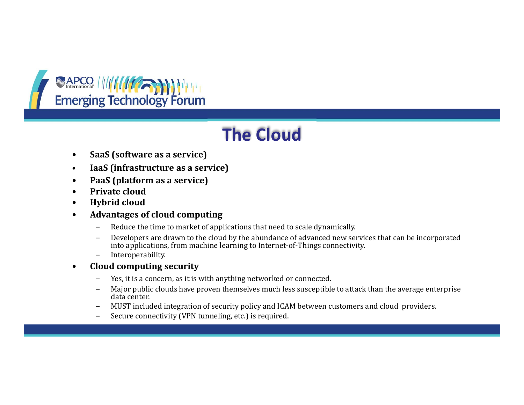

#### **The Cloud**

- **SaaS (software as a service)**
- **IaaS (infrastructure as a service)**
- **PaaS (platform as a service)**
- **Private cloud**
- **Hybrid cloud**
- **Advantages of cloud computing**
	- Reduce the time to market of applications that need to scale dynamically.
	- Developers are drawn to the cloud by the abundance of advanced new services that can be incorporated into applications, from machine learning to Internet-of-Things connectivity.
	- Interoperability.
- **Cloud computing security**
	- Yes, it is a concern, as it is with anything networked or connected.
	- Major public clouds have proven themselves much less susceptible to attack than the average enterprise data center.
	- MUST included integration of security policy and ICAM between customers and cloud providers.
	- Secure connectivity (VPN tunneling, etc.) is required.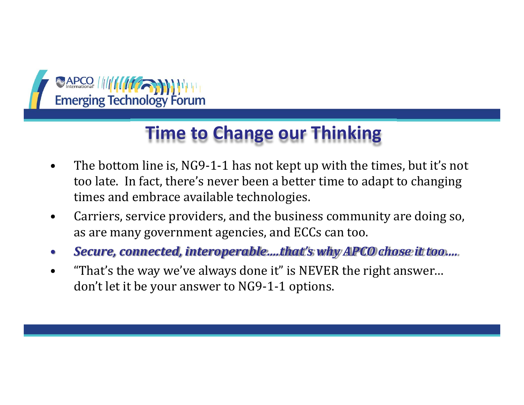

### **Time to Change our Thinking**

- The bottom line is, NG9-1-1 has not kept up with the times, but it's not too late. In fact, there's never been a better time to adapt to changing times and embrace available technologies.
- Carriers, service providers, and the business community are doing so, as are many government agencies, and ECCs can too.
- *Secure, connected, interoperable….that's why APCO chose it too….*
- "That's the way we've always done it" is NEVER the right answer… don't let it be your answer to NG9-1-1 options.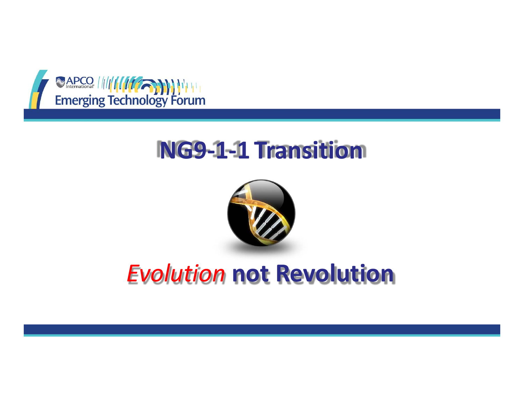

### NG9-1-1 Transition



### **Evolution not Revolution**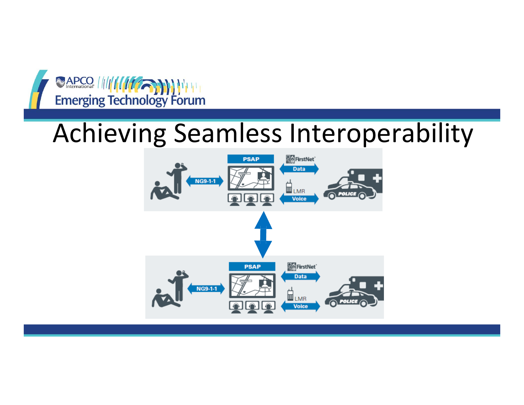

### Achieving Seamless Interoperability

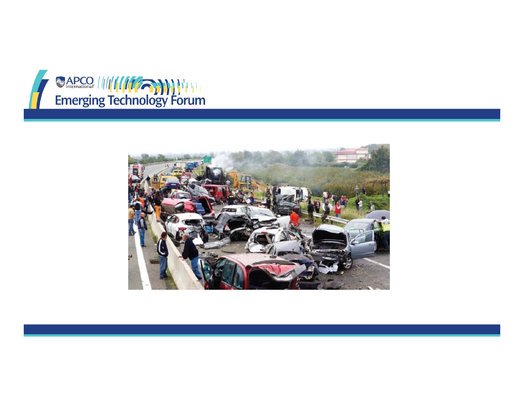

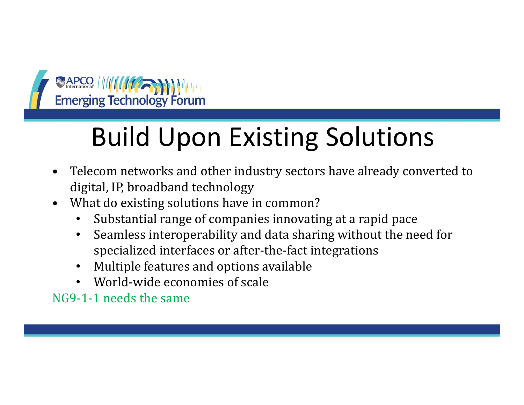

# Build Upon Existing Solutions

- Telecom networks and other industry sectors have already converted to digital, IP, broadband technology
- What do existing solutions have in common?
	- Substantial range of companies innovating at a rapid pace
	- Seamless interoperability and data sharing without the need for specialized interfaces or after-the-fact integrations
	- Multiple features and options available
	- World-wide economies of scale

NG9-1-1 needs the same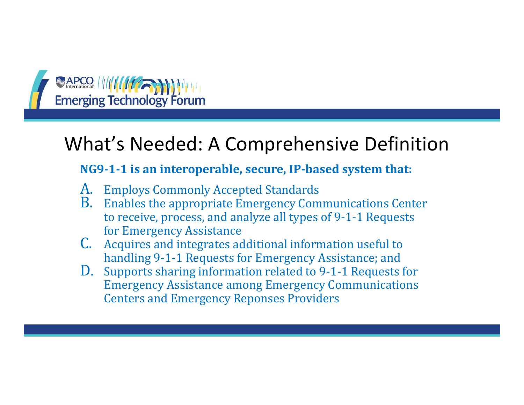

#### What's Needed: A Comprehensive Definition

#### **NG9‐1‐1 is an interoperable, secure, IP‐based system that:**

- A. Employs Commonly Accepted Standards
- B. Enables the appropriate Emergency Communications Center to receive, process, and analyze all types of 9-1-1 Requests for Emergency Assistance
- C. Acquires and integrates additional information useful to handling 9-1-1 Requests for Emergency Assistance; and
- D. Supports sharing information related to 9-1-1 Requests for Emergency Assistance among Emergency Communications Centers and Emergency Reponses Providers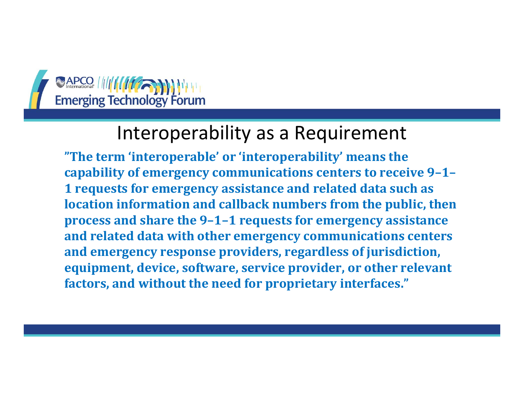

#### Interoperability as a Requirement

**"The term 'interoperable' or 'interoperability' means the capability of emergency communications centers to receive 9–1– 1 requests for emergency assistance and related data such as location information and callback numbers from the public, then process and share the 9–1–1 requests for emergency assistance and related data with other emergency communications centers and emergency response providers, regardless of jurisdiction, equipment, device, software, service provider, or other relevant factors, and without the need for proprietary interfaces."**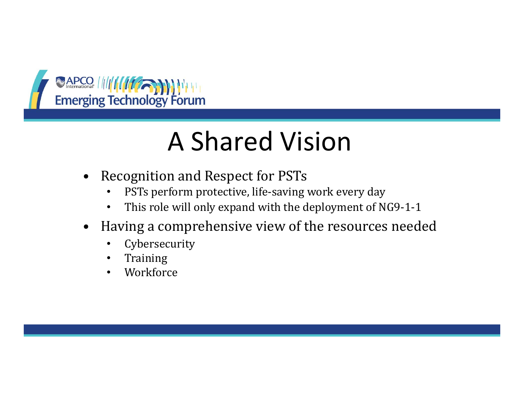

# A Shared Vision

- Recognition and Respect for PSTs
	- PSTs perform protective, life-saving work every day
	- This role will only expand with the deployment of NG9-1-1
- Having a comprehensive view of the resources needed
	- **Cybersecurity**
	- **Training**
	- Workforce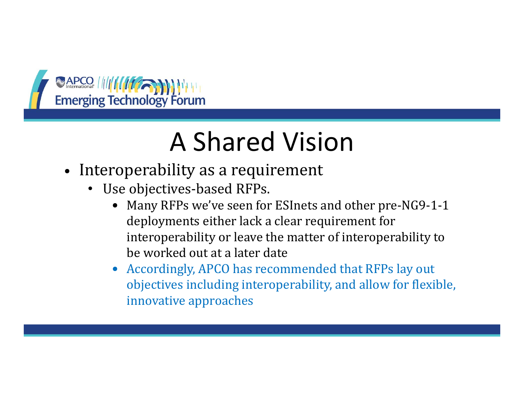

### A Shared Vision

- Interoperability as a requirement
	- Use objectives-based RFPs.
		- Many RFPs we've seen for ESInets and other pre-NG9-1-1 deployments either lack a clear requirement for interoperability or leave the matter of interoperability to be worked out at a later date
		- Accordingly, APCO has recommended that RFPs lay out objectives including interoperability, and allow for flexible, innovative approaches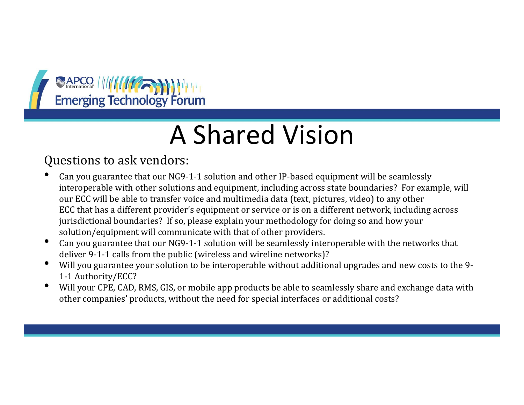

### A Shared Vision

#### Questions to ask vendors:

- Can you guarantee that our NG9-1-1 solution and other IP-based equipment will be seamlessly interoperable with other solutions and equipment, including across state boundaries? For example, will our ECC will be able to transfer voice and multimedia data (text, pictures, video) to any other ECC that has a different provider's equipment or service or is on a different network, including across jurisdictional boundaries? If so, please explain your methodology for doing so and how your solution/equipment will communicate with that of other providers.
- Can you guarantee that our NG9-1-1 solution will be seamlessly interoperable with the networks that deliver 9-1-1 calls from the public (wireless and wireline networks)?
- Will you guarantee your solution to be interoperable without additional upgrades and new costs to the 9- 1-1 Authority/ECC?
- Will your CPE, CAD, RMS, GIS, or mobile app products be able to seamlessly share and exchange data with other companies' products, without the need for special interfaces or additional costs?